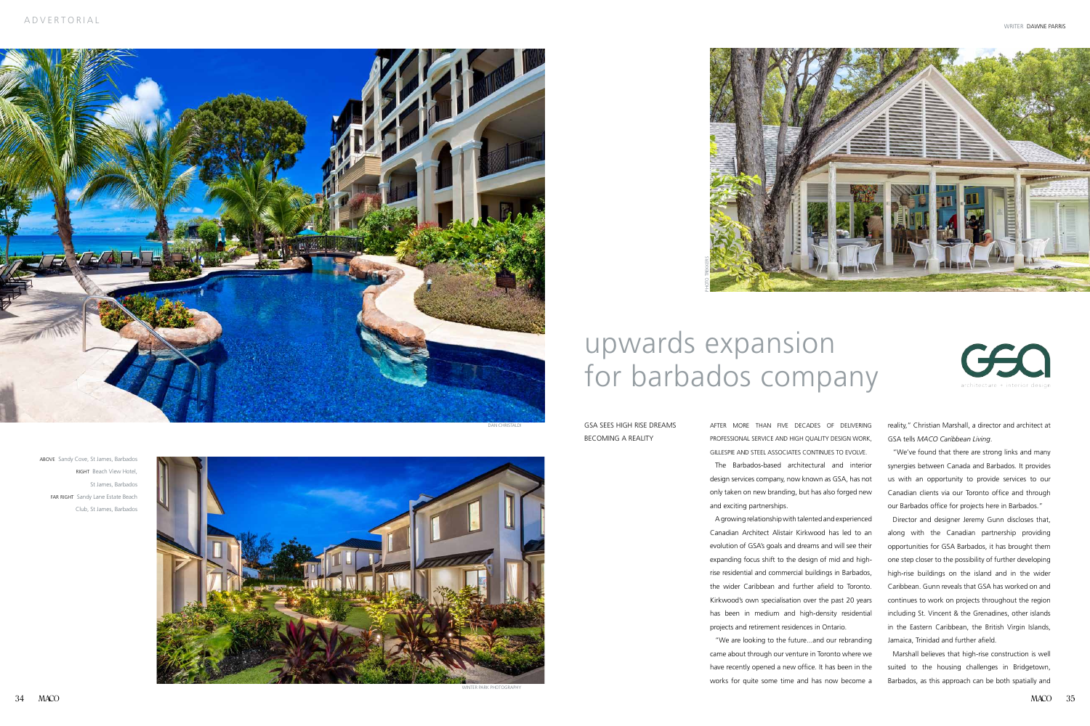After more than five decades of delivering professional service and high quality DESIGN work, Gillespie and Steel Associates CONTINUES TO EVOLVE. The Barbados-based architectural and interior design services company, now known as GSA, has not only taken on new branding, but has also forged new

and exciting partnerships.

A growing relationship with talented and experienced Canadian Architect Alistair Kirkwood has led to an evolution of GSA's goals and dreams and will see their expanding focus shift to the design of mid and highrise residential and commercial buildings in Barbados, the wider Caribbean and further afield to Toronto. Kirkwood's own specialisation over the past 20 years has been in medium and high-density residential projects and retirement residences in Ontario.

"We are looking to the future...and our rebranding came about through our venture in Toronto where we have recently opened a new office. It has been in the works for quite some time and has now become a

## upwards expansion for barbados company

GSA sees high rise dreams becoming a reality

reality," Christian Marshall, a director and architect at GSA tells *MACO Caribbean Living*.

"We've found that there are strong links and many synergies between Canada and Barbados. It provides us with an opportunity to provide services to our Canadian clients via our Toronto office and through our Barbados office for projects here in Barbados."

 Director and designer Jeremy Gunn discloses that, along with the Canadian partnership providing opportunities for GSA Barbados, it has brought them one step closer to the possibility of further developing high-rise buildings on the island and in the wider Caribbean. Gunn reveals that GSA has worked on and continues to work on projects throughout the region including St. Vincent & the Grenadines, other islands in the Eastern Caribbean, the British Virgin Islands, Jamaica, Trinidad and further afield.

 Marshall believes that high-rise construction is well suited to the housing challenges in Bridgetown, Barbados, as this approach can be both spatially and

ABOVE Sandy Cove, St James, Barbados RIGHT Beach View Hotel, St James, Barbados FAR RIGHT Sandy Lane Estate Beach Club, St James, Barbados





Photo Trekkers

Winter Park Photography